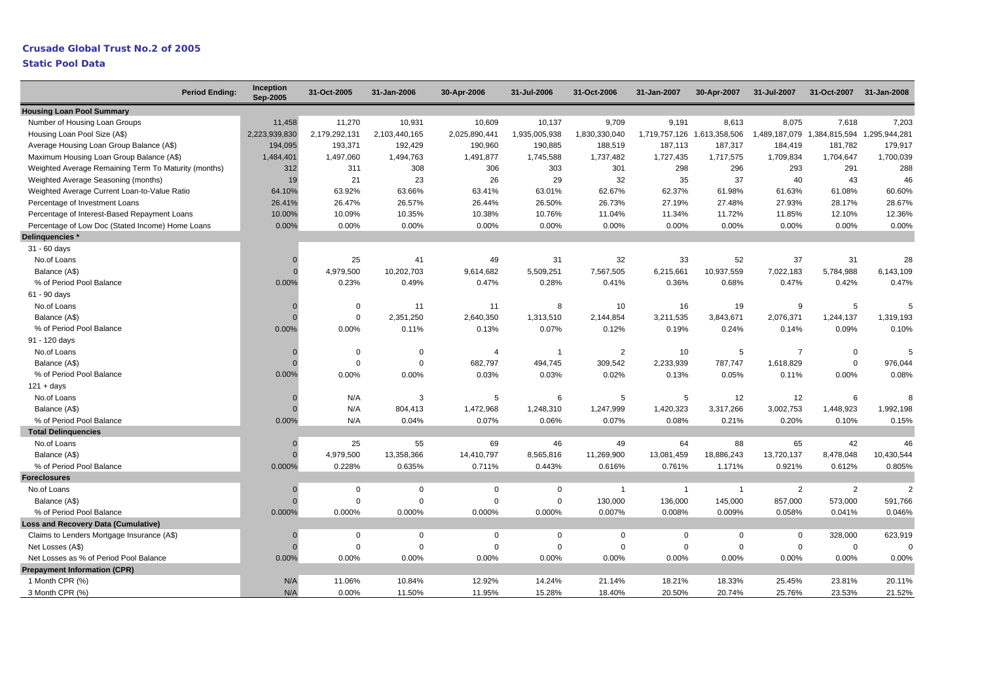## **Static Pool Data**

| <b>Period Ending:</b>                                | Inception<br><b>Sep-2005</b> | 31-Oct-2005    | 31-Jan-2006   | 30-Apr-2006    | 31-Jul-2006    | 31-Oct-2006    | 31-Jan-2007    | 30-Apr-2007                 | 31-Jul-2007    | 31-Oct-2007                 | 31-Jan-2008   |
|------------------------------------------------------|------------------------------|----------------|---------------|----------------|----------------|----------------|----------------|-----------------------------|----------------|-----------------------------|---------------|
| <b>Housing Loan Pool Summary</b>                     |                              |                |               |                |                |                |                |                             |                |                             |               |
| Number of Housing Loan Groups                        | 11,458                       | 11,270         | 10.931        | 10.609         | 10,137         | 9,709          | 9.191          | 8.613                       | 8.075          | 7.618                       | 7,203         |
| Housing Loan Pool Size (A\$)                         | 2,223,939,830                | 2,179,292,131  | 2,103,440,165 | 2,025,890,441  | 1,935,005,938  | 1,830,330,040  |                | 1,719,757,126 1,613,358,506 |                | 1,489,187,079 1,384,815,594 | 1,295,944,281 |
| Average Housing Loan Group Balance (A\$)             | 194,095                      | 193,371        | 192,429       | 190,960        | 190,885        | 188,519        | 187,113        | 187,317                     | 184,419        | 181,782                     | 179,917       |
| Maximum Housing Loan Group Balance (A\$)             | 1,484,401                    | 1,497,060      | 1,494,763     | 1,491,877      | 1,745,588      | 1,737,482      | 1,727,435      | 1,717,575                   | 1,709,834      | 1,704,647                   | 1,700,039     |
| Weighted Average Remaining Term To Maturity (months) | 312                          | 311            | 308           | 306            | 303            | 301            | 298            | 296                         | 293            | 291                         | 288           |
| Weighted Average Seasoning (months)                  | 19                           | 21             | 23            | 26             | 29             | 32             | 35             | 37                          | 40             | 43                          | 46            |
| Weighted Average Current Loan-to-Value Ratio         | 64.10%                       | 63.92%         | 63.66%        | 63.41%         | 63.01%         | 62.67%         | 62.37%         | 61.98%                      | 61.63%         | 61.08%                      | 60.60%        |
| Percentage of Investment Loans                       | 26.41%                       | 26.47%         | 26.57%        | 26.44%         | 26.50%         | 26.73%         | 27.19%         | 27.48%                      | 27.93%         | 28.17%                      | 28.67%        |
| Percentage of Interest-Based Repayment Loans         | 10.00%                       | 10.09%         | 10.35%        | 10.38%         | 10.76%         | 11.04%         | 11.34%         | 11.72%                      | 11.85%         | 12.10%                      | 12.36%        |
| Percentage of Low Doc (Stated Income) Home Loans     | 0.00%                        | 0.00%          | 0.00%         | 0.00%          | 0.00%          | 0.00%          | 0.00%          | 0.00%                       | 0.00%          | 0.00%                       | 0.00%         |
| Delinquencies *                                      |                              |                |               |                |                |                |                |                             |                |                             |               |
| 31 - 60 days                                         |                              |                |               |                |                |                |                |                             |                |                             |               |
| No.of Loans                                          |                              | 25             | 41            | 49             | 31             | 32             | 33             | 52                          | 37             | 31                          | 28            |
| Balance (A\$)                                        | $\Omega$                     | 4,979,500      | 10,202,703    | 9,614,682      | 5,509,251      | 7,567,505      | 6,215,661      | 10,937,559                  | 7,022,183      | 5,784,988                   | 6,143,109     |
| % of Period Pool Balance                             | 0.00%                        | 0.23%          | 0.49%         | 0.47%          | 0.28%          | 0.41%          | 0.36%          | 0.68%                       | 0.47%          | 0.42%                       | 0.47%         |
| 61 - 90 days                                         |                              |                |               |                |                |                |                |                             |                |                             |               |
| No.of Loans                                          |                              | $\overline{0}$ | 11            | 11             | 8              | 10             | 16             | 19                          | 9              | 5                           |               |
| Balance (A\$)                                        |                              | $\mathbf 0$    | 2,351,250     | 2,640,350      | 1,313,510      | 2,144,854      | 3,211,535      | 3,843,671                   | 2,076,371      | 1,244,137                   | 1,319,193     |
| % of Period Pool Balance                             | 0.00%                        | 0.00%          | 0.11%         | 0.13%          | 0.07%          | 0.12%          | 0.19%          | 0.24%                       | 0.14%          | 0.09%                       | 0.10%         |
| 91 - 120 days                                        |                              |                |               |                |                |                |                |                             |                |                             |               |
| No.of Loans                                          |                              | $\overline{0}$ | $\mathbf 0$   | $\overline{4}$ | $\overline{1}$ | $\overline{2}$ | 10             | 5                           | $\overline{7}$ | $\mathbf 0$                 |               |
| Balance (A\$)                                        |                              | $\Omega$       | $\Omega$      | 682,797        | 494,745        | 309,542        | 2,233,939      | 787,747                     | 1,618,829      | $\mathbf 0$                 | 976,044       |
| % of Period Pool Balance                             | 0.00%                        | 0.00%          | 0.00%         | 0.03%          | 0.03%          | 0.02%          | 0.13%          | 0.05%                       | 0.11%          | 0.00%                       | 0.08%         |
| $121 + days$                                         |                              |                |               |                |                |                |                |                             |                |                             |               |
| No.of Loans                                          | O                            | N/A            | 3             | 5              | 6              | 5              | 5              | 12                          | 12             | 6                           |               |
| Balance (A\$)                                        |                              | N/A            | 804,413       | 1,472,968      | 1,248,310      | 1,247,999      | 1,420,323      | 3,317,266                   | 3,002,753      | 1,448,923                   | 1,992,198     |
| % of Period Pool Balance                             | 0.00%                        | N/A            | 0.04%         | 0.07%          | 0.06%          | 0.07%          | 0.08%          | 0.21%                       | 0.20%          | 0.10%                       | 0.15%         |
| <b>Total Delinquencies</b>                           |                              |                |               |                |                |                |                |                             |                |                             |               |
| No.of Loans                                          | $\Omega$                     | 25             | 55            | 69             | 46             | 49             | 64             | 88                          | 65             | 42                          | 46            |
| Balance (A\$)                                        | $\Omega$                     | 4,979,500      | 13,358,366    | 14,410,797     | 8,565,816      | 11,269,900     | 13,081,459     | 18,886,243                  | 13,720,137     | 8,478,048                   | 10,430,544    |
| % of Period Pool Balance                             | 0.000%                       | 0.228%         | 0.635%        | 0.711%         | 0.443%         | 0.616%         | 0.761%         | 1.171%                      | 0.921%         | 0.612%                      | 0.805%        |
| <b>Foreclosures</b>                                  |                              |                |               |                |                |                |                |                             |                |                             |               |
| No.of Loans                                          | $\Omega$                     | $\mathbf 0$    | $\mathbf 0$   | $\Omega$       | $\Omega$       | $\mathbf{1}$   | $\overline{1}$ | $\overline{1}$              | $\overline{2}$ | $\overline{2}$              | $\mathcal{P}$ |
| Balance (A\$)                                        |                              | $\mathbf 0$    | $\Omega$      | $\Omega$       | $\mathbf 0$    | 130,000        | 136,000        | 145,000                     | 857,000        | 573,000                     | 591,766       |
| % of Period Pool Balance                             | 0.000%                       | 0.000%         | 0.000%        | 0.000%         | 0.000%         | 0.007%         | 0.008%         | 0.009%                      | 0.058%         | 0.041%                      | 0.046%        |
| <b>Loss and Recovery Data (Cumulative)</b>           |                              |                |               |                |                |                |                |                             |                |                             |               |
| Claims to Lenders Mortgage Insurance (A\$)           |                              | $\mathbf 0$    | $\mathsf 0$   | $\mathbf 0$    | $\mathbf 0$    | $\mathbf 0$    | $\Omega$       | 0                           | $\mathbf 0$    | 328,000                     | 623,919       |
| Net Losses (A\$)                                     | $\Omega$                     | $\mathbf 0$    | $\mathbf 0$   | $\mathbf 0$    | $\mathsf 0$    | $\mathbf 0$    | $\Omega$       | $\mathbf 0$                 | $\mathbf 0$    | $\mathbf 0$                 |               |
| Net Losses as % of Period Pool Balance               | 0.00%                        | 0.00%          | 0.00%         | 0.00%          | 0.00%          | 0.00%          | 0.00%          | 0.00%                       | 0.00%          | 0.00%                       | 0.00%         |
| <b>Prepayment Information (CPR)</b>                  |                              |                |               |                |                |                |                |                             |                |                             |               |
| 1 Month CPR (%)                                      | N/A                          | 11.06%         | 10.84%        | 12.92%         | 14.24%         | 21.14%         | 18.21%         | 18.33%                      | 25.45%         | 23.81%                      | 20.11%        |
| 3 Month CPR (%)                                      | N/A                          | 0.00%          | 11.50%        | 11.95%         | 15.28%         | 18.40%         | 20.50%         | 20.74%                      | 25.76%         | 23.53%                      | 21.52%        |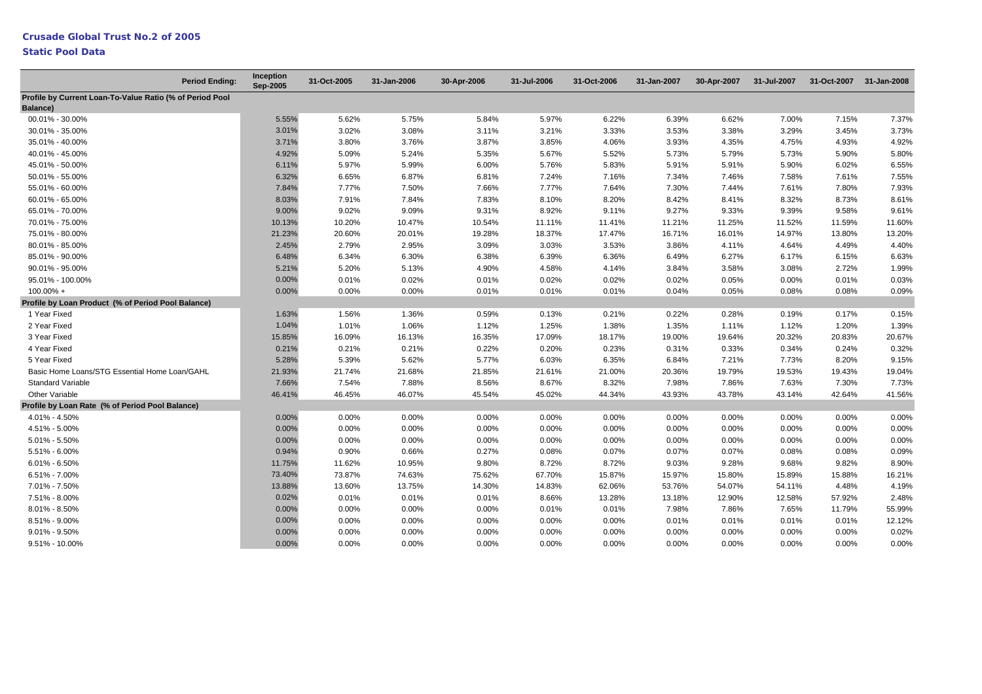## **Static Pool Data**

|                                                                      | <b>Period Ending:</b> | Inception<br>Sep-2005 | 31-Oct-2005 | 31-Jan-2006 | 30-Apr-2006 | 31-Jul-2006 | 31-Oct-2006 | 31-Jan-2007 | 30-Apr-2007 | 31-Jul-2007 | 31-Oct-2007 | 31-Jan-2008 |
|----------------------------------------------------------------------|-----------------------|-----------------------|-------------|-------------|-------------|-------------|-------------|-------------|-------------|-------------|-------------|-------------|
| Profile by Current Loan-To-Value Ratio (% of Period Pool<br>Balance) |                       |                       |             |             |             |             |             |             |             |             |             |             |
| 00.01% - 30.00%                                                      |                       | 5.55%                 | 5.62%       | 5.75%       | 5.84%       | 5.97%       | 6.22%       | 6.39%       | 6.62%       | 7.00%       | 7.15%       | 7.37%       |
| 30.01% - 35.00%                                                      |                       | 3.01%                 | 3.02%       | 3.08%       | 3.11%       | 3.21%       | 3.33%       | 3.53%       | 3.38%       | 3.29%       | 3.45%       | 3.73%       |
| 35.01% - 40.00%                                                      |                       | 3.71%                 | 3.80%       | 3.76%       | 3.87%       | 3.85%       | 4.06%       | 3.93%       | 4.35%       | 4.75%       | 4.93%       | 4.92%       |
| 40.01% - 45.00%                                                      |                       | 4.92%                 | 5.09%       | 5.24%       | 5.35%       | 5.67%       | 5.52%       | 5.73%       | 5.79%       | 5.73%       | 5.90%       | 5.80%       |
| 45.01% - 50.00%                                                      |                       | 6.11%                 | 5.97%       | 5.99%       | 6.00%       | 5.76%       | 5.83%       | 5.91%       | 5.91%       | 5.90%       | 6.02%       | 6.55%       |
| 50.01% - 55.00%                                                      |                       | 6.32%                 | 6.65%       | 6.87%       | 6.81%       | 7.24%       | 7.16%       | 7.34%       | 7.46%       | 7.58%       | 7.61%       | 7.55%       |
| 55.01% - 60.00%                                                      |                       | 7.84%                 | 7.77%       | 7.50%       | 7.66%       | 7.77%       | 7.64%       | 7.30%       | 7.44%       | 7.61%       | 7.80%       | 7.93%       |
| 60.01% - 65.00%                                                      |                       | 8.03%                 | 7.91%       | 7.84%       | 7.83%       | 8.10%       | 8.20%       | 8.42%       | 8.41%       | 8.32%       | 8.73%       | 8.61%       |
| 65.01% - 70.00%                                                      |                       | 9.00%                 | 9.02%       | 9.09%       | 9.31%       | 8.92%       | 9.11%       | 9.27%       | 9.33%       | 9.39%       | 9.58%       | 9.61%       |
| 70.01% - 75.00%                                                      |                       | 10.13%                | 10.20%      | 10.47%      | 10.54%      | 11.11%      | 11.41%      | 11.21%      | 11.25%      | 11.52%      | 11.59%      | 11.60%      |
| 75.01% - 80.00%                                                      |                       | 21.23%                | 20.60%      | 20.01%      | 19.28%      | 18.37%      | 17.47%      | 16.71%      | 16.01%      | 14.97%      | 13.80%      | 13.20%      |
| 80.01% - 85.00%                                                      |                       | 2.45%                 | 2.79%       | 2.95%       | 3.09%       | 3.03%       | 3.53%       | 3.86%       | 4.11%       | 4.64%       | 4.49%       | 4.40%       |
| 85.01% - 90.00%                                                      |                       | 6.48%                 | 6.34%       | 6.30%       | 6.38%       | 6.39%       | 6.36%       | 6.49%       | 6.27%       | 6.17%       | 6.15%       | 6.63%       |
| 90.01% - 95.00%                                                      |                       | 5.21%                 | 5.20%       | 5.13%       | 4.90%       | 4.58%       | 4.14%       | 3.84%       | 3.58%       | 3.08%       | 2.72%       | 1.99%       |
| 95.01% - 100.00%                                                     |                       | 0.00%                 | 0.01%       | 0.02%       | 0.01%       | 0.02%       | 0.02%       | 0.02%       | 0.05%       | 0.00%       | 0.01%       | 0.03%       |
| 100.00% +                                                            |                       | 0.00%                 | 0.00%       | 0.00%       | 0.01%       | 0.01%       | 0.01%       | 0.04%       | 0.05%       | 0.08%       | 0.08%       | 0.09%       |
| Profile by Loan Product (% of Period Pool Balance)                   |                       |                       |             |             |             |             |             |             |             |             |             |             |
| 1 Year Fixed                                                         |                       | 1.63%                 | 1.56%       | 1.36%       | 0.59%       | 0.13%       | 0.21%       | 0.22%       | 0.28%       | 0.19%       | 0.17%       | 0.15%       |
| 2 Year Fixed                                                         |                       | 1.04%                 | 1.01%       | 1.06%       | 1.12%       | 1.25%       | 1.38%       | 1.35%       | 1.11%       | 1.12%       | 1.20%       | 1.39%       |
| 3 Year Fixed                                                         |                       | 15.85%                | 16.09%      | 16.13%      | 16.35%      | 17.09%      | 18.17%      | 19.00%      | 19.64%      | 20.32%      | 20.83%      | 20.67%      |
| 4 Year Fixed                                                         |                       | 0.21%                 | 0.21%       | 0.21%       | 0.22%       | 0.20%       | 0.23%       | 0.31%       | 0.33%       | 0.34%       | 0.24%       | 0.32%       |
| 5 Year Fixed                                                         |                       | 5.28%                 | 5.39%       | 5.62%       | 5.77%       | 6.03%       | 6.35%       | 6.84%       | 7.21%       | 7.73%       | 8.20%       | 9.15%       |
| Basic Home Loans/STG Essential Home Loan/GAHL                        |                       | 21.93%                | 21.74%      | 21.68%      | 21.85%      | 21.61%      | 21.00%      | 20.36%      | 19.79%      | 19.53%      | 19.43%      | 19.04%      |
| <b>Standard Variable</b>                                             |                       | 7.66%                 | 7.54%       | 7.88%       | 8.56%       | 8.67%       | 8.32%       | 7.98%       | 7.86%       | 7.63%       | 7.30%       | 7.73%       |
| Other Variable                                                       |                       | 46.41%                | 46.45%      | 46.07%      | 45.54%      | 45.02%      | 44.34%      | 43.93%      | 43.78%      | 43.14%      | 42.64%      | 41.56%      |
| Profile by Loan Rate (% of Period Pool Balance)                      |                       |                       |             |             |             |             |             |             |             |             |             |             |
| 4.01% - 4.50%                                                        |                       | 0.00%                 | $0.00\%$    | 0.00%       | 0.00%       | 0.00%       | $0.00\%$    | $0.00\%$    | $0.00\%$    | $0.00\%$    | 0.00%       | 0.00%       |
| 4.51% - 5.00%                                                        |                       | 0.00%                 | 0.00%       | 0.00%       | 0.00%       | 0.00%       | 0.00%       | 0.00%       | 0.00%       | 0.00%       | 0.00%       | 0.00%       |
| $5.01\% - 5.50\%$                                                    |                       | 0.00%                 | 0.00%       | 0.00%       | 0.00%       | 0.00%       | 0.00%       | 0.00%       | 0.00%       | 0.00%       | 0.00%       | 0.00%       |
| 5.51% - 6.00%                                                        |                       | 0.94%                 | 0.90%       | 0.66%       | 0.27%       | 0.08%       | 0.07%       | 0.07%       | 0.07%       | 0.08%       | 0.08%       | 0.09%       |
| $6.01\% - 6.50\%$                                                    |                       | 11.75%                | 11.62%      | 10.95%      | 9.80%       | 8.72%       | 8.72%       | 9.03%       | 9.28%       | 9.68%       | 9.82%       | 8.90%       |
| $6.51\% - 7.00\%$                                                    |                       | 73.40%                | 73.87%      | 74.63%      | 75.62%      | 67.70%      | 15.87%      | 15.97%      | 15.80%      | 15.89%      | 15.88%      | 16.21%      |
| 7.01% - 7.50%                                                        |                       | 13.88%                | 13.60%      | 13.75%      | 14.30%      | 14.83%      | 62.06%      | 53.76%      | 54.07%      | 54.11%      | 4.48%       | 4.19%       |
| 7.51% - 8.00%                                                        |                       | 0.02%                 | 0.01%       | 0.01%       | 0.01%       | 8.66%       | 13.28%      | 13.18%      | 12.90%      | 12.58%      | 57.92%      | 2.48%       |
| $8.01\% - 8.50\%$                                                    |                       | 0.00%                 | 0.00%       | 0.00%       | 0.00%       | 0.01%       | 0.01%       | 7.98%       | 7.86%       | 7.65%       | 11.79%      | 55.99%      |
| 8.51% - 9.00%                                                        |                       | 0.00%                 | 0.00%       | 0.00%       | 0.00%       | 0.00%       | 0.00%       | 0.01%       | 0.01%       | 0.01%       | 0.01%       | 12.12%      |
| $9.01\% - 9.50\%$                                                    |                       | 0.00%                 | 0.00%       | 0.00%       | 0.00%       | 0.00%       | 0.00%       | 0.00%       | 0.00%       | 0.00%       | 0.00%       | 0.02%       |
| 9.51% - 10.00%                                                       |                       | 0.00%                 | 0.00%       | 0.00%       | 0.00%       | 0.00%       | 0.00%       | 0.00%       | 0.00%       | 0.00%       | 0.00%       | 0.00%       |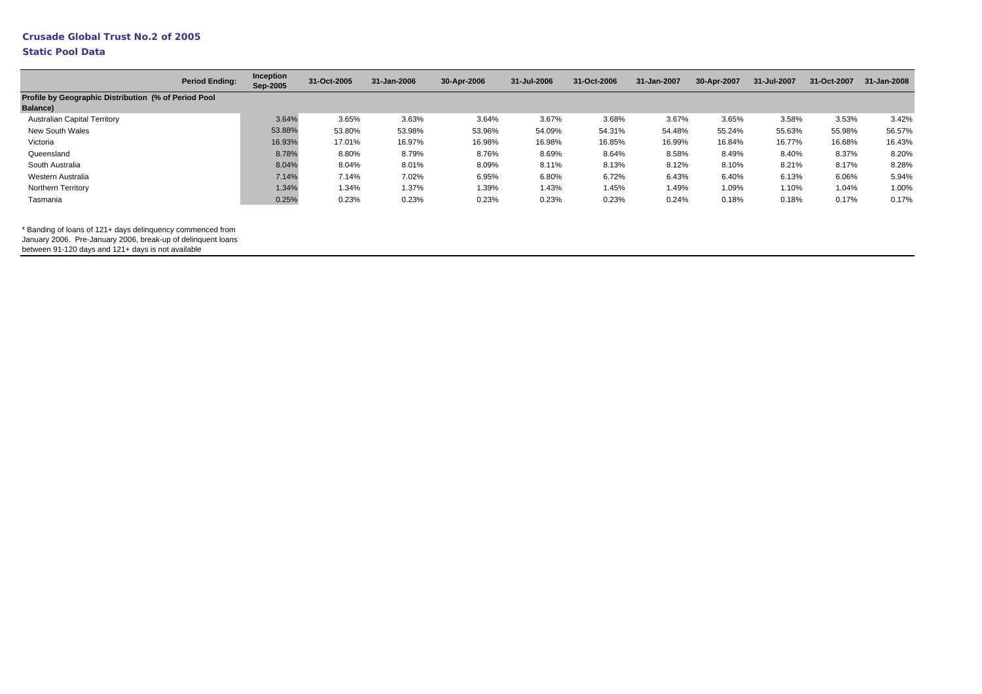### **Static Pool Data**

|                                                                         | <b>Period Ending:</b> | Inception<br>Sep-2005 | 31-Oct-2005 | 31-Jan-2006 | 30-Apr-2006 | 31-Jul-2006 | 31-Oct-2006 | 31-Jan-2007 | 30-Apr-2007 | 31-Jul-2007 | 31-Oct-2007 | 31-Jan-2008 |
|-------------------------------------------------------------------------|-----------------------|-----------------------|-------------|-------------|-------------|-------------|-------------|-------------|-------------|-------------|-------------|-------------|
| Profile by Geographic Distribution (% of Period Pool<br><b>Balance)</b> |                       |                       |             |             |             |             |             |             |             |             |             |             |
| <b>Australian Capital Territory</b>                                     |                       | 3.64%                 | 3.65%       | 3.63%       | 3.64%       | 3.67%       | 3.68%       | 3.67%       | 3.65%       | 3.58%       | 3.53%       | 3.42%       |
| New South Wales                                                         |                       | 53.88%                | 53.80%      | 53.98%      | 53.96%      | 54.09%      | 54.31%      | 54.48%      | 55.24%      | 55.63%      | 55.98%      | 56.57%      |
| Victoria                                                                |                       | 16.93%                | 17.01%      | 16.97%      | 16.98%      | 16.98%      | 16.85%      | 16.99%      | 16.84%      | 16.77%      | 16.68%      | 16.43%      |
| Queensland                                                              |                       | 8.78%                 | 8.80%       | 8.79%       | 8.76%       | 8.69%       | 8.64%       | 8.58%       | 8.49%       | 8.40%       | 8.37%       | 8.20%       |
| South Australia                                                         |                       | 8.04%                 | 8.04%       | 8.01%       | 8.09%       | 8.11%       | 8.13%       | 8.12%       | 8.10%       | 8.21%       | 8.17%       | 8.28%       |
| Western Australia                                                       |                       | 7.14%                 | 7.14%       | 7.02%       | 6.95%       | 6.80%       | 6.72%       | 6.43%       | 6.40%       | 6.13%       | 6.06%       | 5.94%       |
| Northern Territory                                                      |                       | 1.34%                 | 1.34%       | 1.37%       | 1.39%       | 1.43%       | 1.45%       | 1.49%       | 1.09%       | 1.10%       | 1.04%       | 1.00%       |
| Tasmania                                                                |                       | 0.25%                 | 0.23%       | 0.23%       | 0.23%       | 0.23%       | 0.23%       | 0.24%       | 0.18%       | 0.18%       | 0.17%       | 0.17%       |

\* Banding of loans of 121+ days delinquency commenced from

January 2006. Pre-January 2006, break-up of delinquent loans

between 91-120 days and 121+ days is not available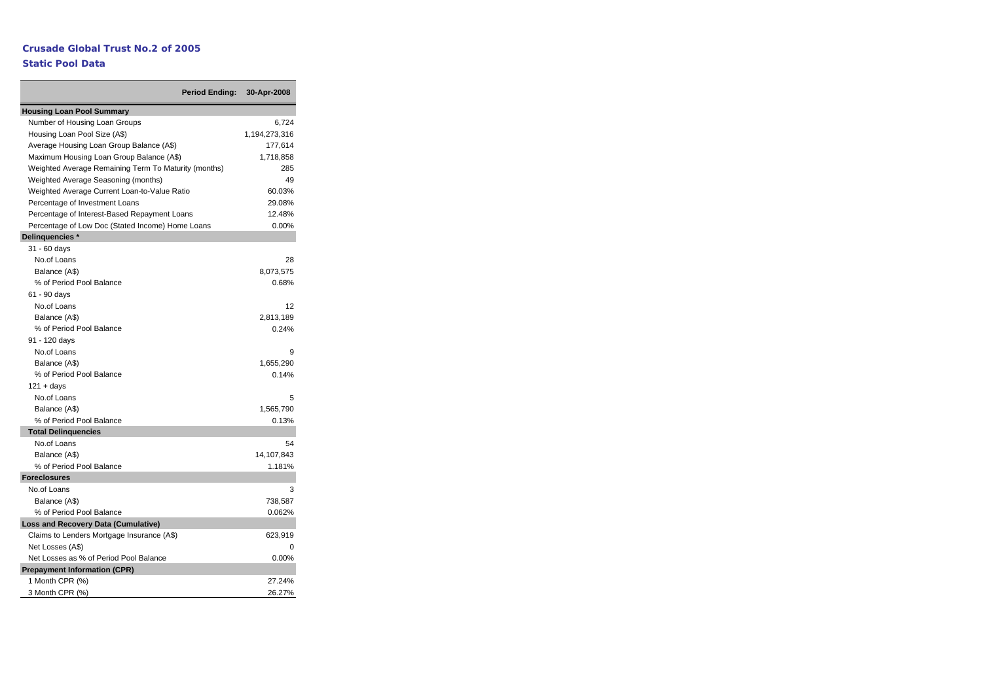## **Static Pool Data**

**Period Ending: 30-Apr-2008**

| <b>Housing Loan Pool Summary</b>                     |               |
|------------------------------------------------------|---------------|
| Number of Housing Loan Groups                        | 6,724         |
| Housing Loan Pool Size (A\$)                         | 1,194,273,316 |
| Average Housing Loan Group Balance (A\$)             | 177,614       |
| Maximum Housing Loan Group Balance (A\$)             | 1,718,858     |
| Weighted Average Remaining Term To Maturity (months) | 285           |
| Weighted Average Seasoning (months)                  | 49            |
| Weighted Average Current Loan-to-Value Ratio         | 60.03%        |
| Percentage of Investment Loans                       | 29.08%        |
| Percentage of Interest-Based Repayment Loans         | 12.48%        |
| Percentage of Low Doc (Stated Income) Home Loans     | 0.00%         |
| Delinquencies *                                      |               |
| 31 - 60 days                                         |               |
| No.of Loans                                          | 28            |
| Balance (A\$)                                        | 8,073,575     |
| % of Period Pool Balance                             | 0.68%         |
| 61 - 90 days                                         |               |
| No.of Loans                                          | 12            |
| Balance (A\$)                                        | 2,813,189     |
| % of Period Pool Balance                             | 0.24%         |
| 91 - 120 days                                        |               |
| No.of Loans                                          | 9             |
| Balance (A\$)                                        | 1,655,290     |
| % of Period Pool Balance                             | 0.14%         |
| $121 + days$                                         |               |
| No.of Loans                                          | 5             |
| Balance (A\$)                                        | 1,565,790     |
| % of Period Pool Balance                             | 0.13%         |
| <b>Total Delinquencies</b>                           |               |
| No.of Loans                                          | 54            |
| Balance (A\$)                                        | 14,107,843    |
| % of Period Pool Balance                             | 1.181%        |
| <b>Foreclosures</b>                                  |               |
| No.of Loans                                          | 3             |
| Balance (A\$)                                        | 738,587       |
| % of Period Pool Balance                             | 0.062%        |
| <b>Loss and Recovery Data (Cumulative)</b>           |               |
| Claims to Lenders Mortgage Insurance (A\$)           | 623,919       |
| Net Losses (A\$)                                     | $\Omega$      |
| Net Losses as % of Period Pool Balance               | 0.00%         |
| <b>Prepayment Information (CPR)</b>                  |               |
| 1 Month CPR (%)                                      | 27.24%        |
| 3 Month CPR (%)                                      | 26.27%        |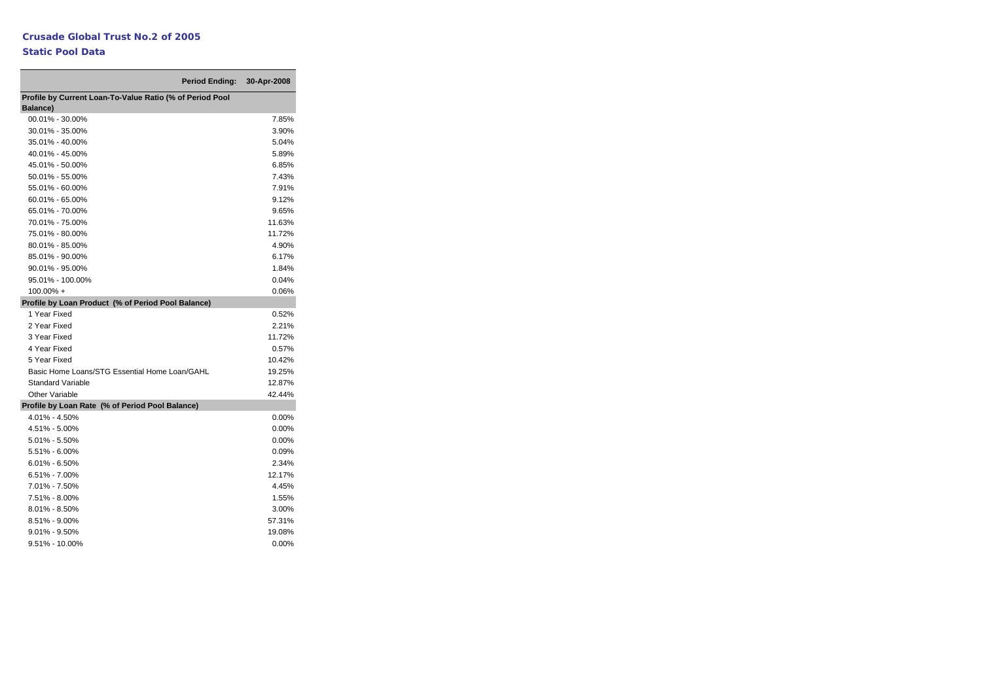## **Static Pool Data**

9.51% - 10.00%

|                                                                      | Period Ending: 30-Apr-2008 |          |
|----------------------------------------------------------------------|----------------------------|----------|
| Profile by Current Loan-To-Value Ratio (% of Period Pool<br>Balance) |                            |          |
| 00.01% - 30.00%                                                      |                            | 7.85%    |
| 30.01% - 35.00%                                                      |                            | 3.90%    |
| 35.01% - 40.00%                                                      |                            | 5.04%    |
| 40.01% - 45.00%                                                      |                            | 5.89%    |
| 45.01% - 50.00%                                                      |                            | 6.85%    |
| 50.01% - 55.00%                                                      |                            | 7.43%    |
| 55.01% - 60.00%                                                      |                            | 7.91%    |
| 60.01% - 65.00%                                                      |                            | 9.12%    |
| 65.01% - 70.00%                                                      |                            | 9.65%    |
| 70.01% - 75.00%                                                      |                            | 11.63%   |
| 75.01% - 80.00%                                                      |                            | 11.72%   |
| 80.01% - 85.00%                                                      |                            | 4.90%    |
| 85.01% - 90.00%                                                      |                            | 6.17%    |
| 90.01% - 95.00%                                                      |                            | 1.84%    |
| 95.01% - 100.00%                                                     |                            | 0.04%    |
| $100.00\% +$                                                         |                            | 0.06%    |
| Profile by Loan Product (% of Period Pool Balance)                   |                            |          |
| 1 Year Fixed                                                         |                            | 0.52%    |
| 2 Year Fixed                                                         |                            | 2.21%    |
| 3 Year Fixed                                                         |                            | 11.72%   |
| 4 Year Fixed                                                         |                            | 0.57%    |
| 5 Year Fixed                                                         |                            | 10.42%   |
| Basic Home Loans/STG Essential Home Loan/GAHL                        |                            | 19.25%   |
| <b>Standard Variable</b>                                             |                            | 12.87%   |
| Other Variable                                                       |                            | 42.44%   |
| Profile by Loan Rate (% of Period Pool Balance)                      |                            |          |
| 4.01% - 4.50%                                                        |                            | $0.00\%$ |
| 4.51% - 5.00%                                                        |                            | 0.00%    |
| 5.01% - 5.50%                                                        |                            | 0.00%    |
| 5.51% - 6.00%                                                        |                            | 0.09%    |
| $6.01\% - 6.50\%$                                                    |                            | 2.34%    |
| 6.51% - 7.00%                                                        |                            | 12.17%   |
| 7.01% - 7.50%                                                        |                            | 4.45%    |
| 7.51% - 8.00%                                                        |                            | 1.55%    |
| $8.01\% - 8.50\%$                                                    |                            | 3.00%    |
| 8.51% - 9.00%                                                        |                            | 57.31%   |
| $9.01\% - 9.50\%$                                                    |                            | 19.08%   |
| 9.51% - 10.00%                                                       |                            | $0.00\%$ |